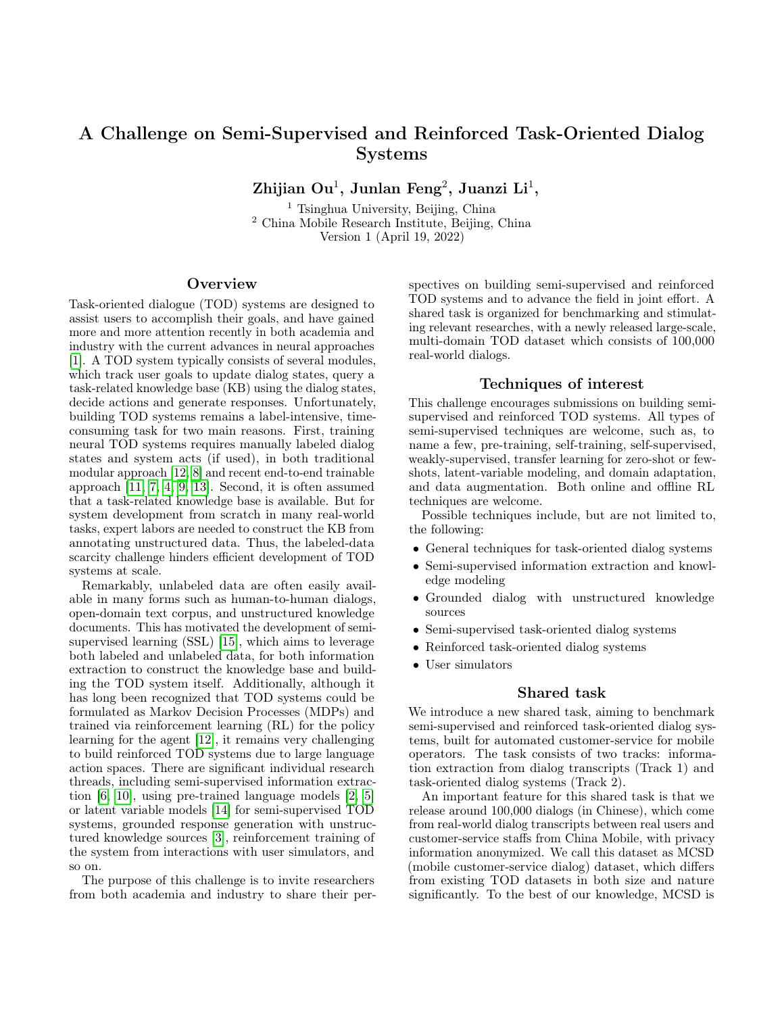# A Challenge on Semi-Supervised and Reinforced Task-Oriented Dialog Systems

 $\rm Zhijian\ Ou^1,\ Junlan\ Feng^2,\ Juanzi\ Li^1,$ 

<sup>1</sup> Tsinghua University, Beijing, China <sup>2</sup> China Mobile Research Institute, Beijing, China Version 1 (April 19, 2022)

## **Overview**

Task-oriented dialogue (TOD) systems are designed to assist users to accomplish their goals, and have gained more and more attention recently in both academia and industry with the current advances in neural approaches [\[1\]](#page-2-0). A TOD system typically consists of several modules, which track user goals to update dialog states, query a task-related knowledge base (KB) using the dialog states, decide actions and generate responses. Unfortunately, building TOD systems remains a label-intensive, timeconsuming task for two main reasons. First, training neural TOD systems requires manually labeled dialog states and system acts (if used), in both traditional modular approach [\[12,](#page-2-1) [8\]](#page-2-2) and recent end-to-end trainable approach [\[11,](#page-2-3) [7,](#page-2-4) [4,](#page-2-5) [9,](#page-2-6) [13\]](#page-2-7). Second, it is often assumed that a task-related knowledge base is available. But for system development from scratch in many real-world tasks, expert labors are needed to construct the KB from annotating unstructured data. Thus, the labeled-data scarcity challenge hinders efficient development of TOD systems at scale.

Remarkably, unlabeled data are often easily available in many forms such as human-to-human dialogs, open-domain text corpus, and unstructured knowledge documents. This has motivated the development of semisupervised learning (SSL) [\[15\]](#page-2-8), which aims to leverage both labeled and unlabeled data, for both information extraction to construct the knowledge base and building the TOD system itself. Additionally, although it has long been recognized that TOD systems could be formulated as Markov Decision Processes (MDPs) and trained via reinforcement learning (RL) for the policy learning for the agent [\[12\]](#page-2-1), it remains very challenging to build reinforced TOD systems due to large language action spaces. There are significant individual research threads, including semi-supervised information extraction [\[6,](#page-2-9) [10\]](#page-2-10), using pre-trained language models [\[2,](#page-2-11) [5\]](#page-2-12) or latent variable models [\[14\]](#page-2-13) for semi-supervised TOD systems, grounded response generation with unstructured knowledge sources [\[3\]](#page-2-14), reinforcement training of the system from interactions with user simulators, and so on.

The purpose of this challenge is to invite researchers from both academia and industry to share their perspectives on building semi-supervised and reinforced TOD systems and to advance the field in joint effort. A shared task is organized for benchmarking and stimulating relevant researches, with a newly released large-scale, multi-domain TOD dataset which consists of 100,000 real-world dialogs.

### Techniques of interest

This challenge encourages submissions on building semisupervised and reinforced TOD systems. All types of semi-supervised techniques are welcome, such as, to name a few, pre-training, self-training, self-supervised, weakly-supervised, transfer learning for zero-shot or fewshots, latent-variable modeling, and domain adaptation, and data augmentation. Both online and offline RL techniques are welcome.

Possible techniques include, but are not limited to, the following:

- General techniques for task-oriented dialog systems
- Semi-supervised information extraction and knowledge modeling
- Grounded dialog with unstructured knowledge sources
- Semi-supervised task-oriented dialog systems
- Reinforced task-oriented dialog systems
- User simulators

#### Shared task

We introduce a new shared task, aiming to benchmark semi-supervised and reinforced task-oriented dialog systems, built for automated customer-service for mobile operators. The task consists of two tracks: information extraction from dialog transcripts (Track 1) and task-oriented dialog systems (Track 2).

An important feature for this shared task is that we release around 100,000 dialogs (in Chinese), which come from real-world dialog transcripts between real users and customer-service staffs from China Mobile, with privacy information anonymized. We call this dataset as MCSD (mobile customer-service dialog) dataset, which differs from existing TOD datasets in both size and nature significantly. To the best of our knowledge, MCSD is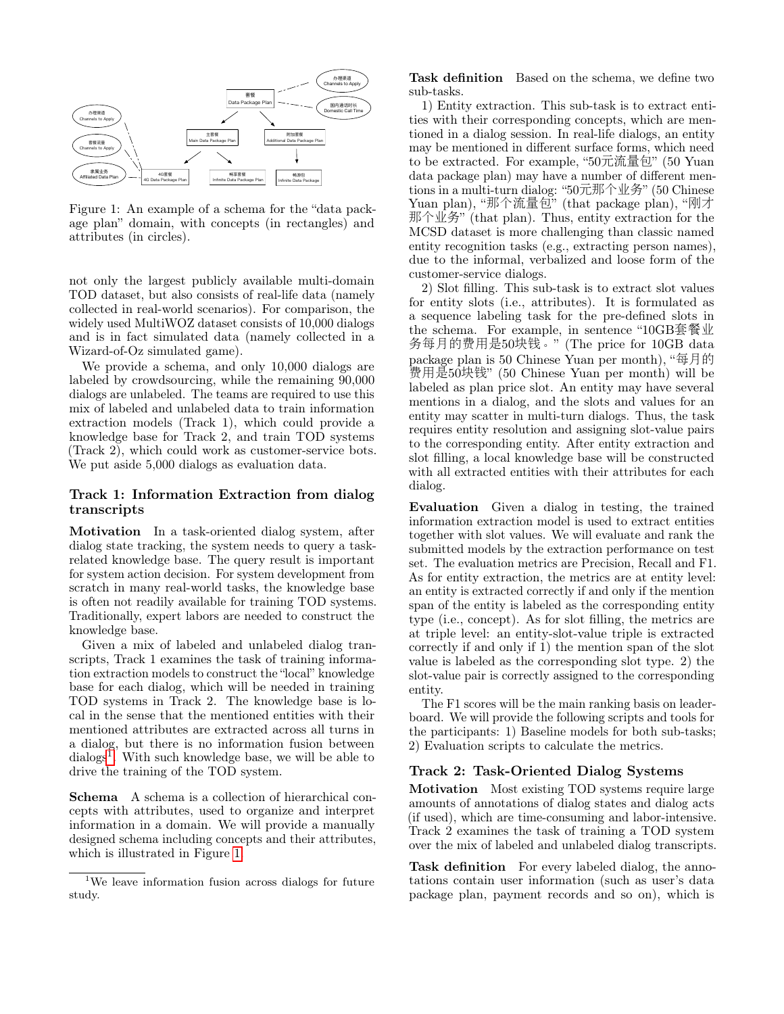

<span id="page-1-1"></span>Figure 1: An example of a schema for the "data package plan" domain, with concepts (in rectangles) and attributes (in circles).

not only the largest publicly available multi-domain TOD dataset, but also consists of real-life data (namely collected in real-world scenarios). For comparison, the widely used MultiWOZ dataset consists of 10,000 dialogs and is in fact simulated data (namely collected in a Wizard-of-Oz simulated game).

We provide a schema, and only 10,000 dialogs are labeled by crowdsourcing, while the remaining 90,000 dialogs are unlabeled. The teams are required to use this mix of labeled and unlabeled data to train information extraction models (Track 1), which could provide a knowledge base for Track 2, and train TOD systems (Track 2), which could work as customer-service bots. We put aside 5,000 dialogs as evaluation data.

## Track 1: Information Extraction from dialog transcripts

Motivation In a task-oriented dialog system, after dialog state tracking, the system needs to query a taskrelated knowledge base. The query result is important for system action decision. For system development from scratch in many real-world tasks, the knowledge base is often not readily available for training TOD systems. Traditionally, expert labors are needed to construct the knowledge base.

Given a mix of labeled and unlabeled dialog transcripts, Track 1 examines the task of training information extraction models to construct the "local" knowledge base for each dialog, which will be needed in training TOD systems in Track 2. The knowledge base is local in the sense that the mentioned entities with their mentioned attributes are extracted across all turns in a dialog, but there is no information fusion between dialogs<sup>[1](#page-1-0)</sup>. With such knowledge base, we will be able to drive the training of the TOD system.

Schema A schema is a collection of hierarchical concepts with attributes, used to organize and interpret information in a domain. We will provide a manually designed schema including concepts and their attributes, which is illustrated in Figure [1.](#page-1-1)

Task definition Based on the schema, we define two sub-tasks.

1) Entity extraction. This sub-task is to extract entities with their corresponding concepts, which are mentioned in a dialog session. In real-life dialogs, an entity may be mentioned in different surface forms, which need to be extracted. For example, "50元流量包" (50 Yuan data package plan) may have a number of different mentions in a multi-turn dialog: "50元那个业务" (50 Chinese Yuan plan), "那个流量包" (that package plan), "刚才 那个业务" (that plan). Thus, entity extraction for the MCSD dataset is more challenging than classic named entity recognition tasks (e.g., extracting person names), due to the informal, verbalized and loose form of the customer-service dialogs.

2) Slot filling. This sub-task is to extract slot values for entity slots (i.e., attributes). It is formulated as a sequence labeling task for the pre-defined slots in the schema. For example, in sentence "10GB套餐<sup>业</sup> <sup>务</sup>每月的费用是50块钱。" (The price for 10GB data package plan is 50 Chinese Yuan per month), "每月<sup>的</sup> <sup>费</sup>用是50块钱" (50 Chinese Yuan per month) will be labeled as plan price slot. An entity may have several mentions in a dialog, and the slots and values for an entity may scatter in multi-turn dialogs. Thus, the task requires entity resolution and assigning slot-value pairs to the corresponding entity. After entity extraction and slot filling, a local knowledge base will be constructed with all extracted entities with their attributes for each dialog.

Evaluation Given a dialog in testing, the trained information extraction model is used to extract entities together with slot values. We will evaluate and rank the submitted models by the extraction performance on test set. The evaluation metrics are Precision, Recall and F1. As for entity extraction, the metrics are at entity level: an entity is extracted correctly if and only if the mention span of the entity is labeled as the corresponding entity type (i.e., concept). As for slot filling, the metrics are at triple level: an entity-slot-value triple is extracted correctly if and only if 1) the mention span of the slot value is labeled as the corresponding slot type. 2) the slot-value pair is correctly assigned to the corresponding entity.

The F1 scores will be the main ranking basis on leaderboard. We will provide the following scripts and tools for the participants: 1) Baseline models for both sub-tasks; 2) Evaluation scripts to calculate the metrics.

## Track 2: Task-Oriented Dialog Systems

Motivation Most existing TOD systems require large amounts of annotations of dialog states and dialog acts (if used), which are time-consuming and labor-intensive. Track 2 examines the task of training a TOD system over the mix of labeled and unlabeled dialog transcripts.

Task definition For every labeled dialog, the annotations contain user information (such as user's data package plan, payment records and so on), which is

<span id="page-1-0"></span><sup>1</sup>We leave information fusion across dialogs for future study.